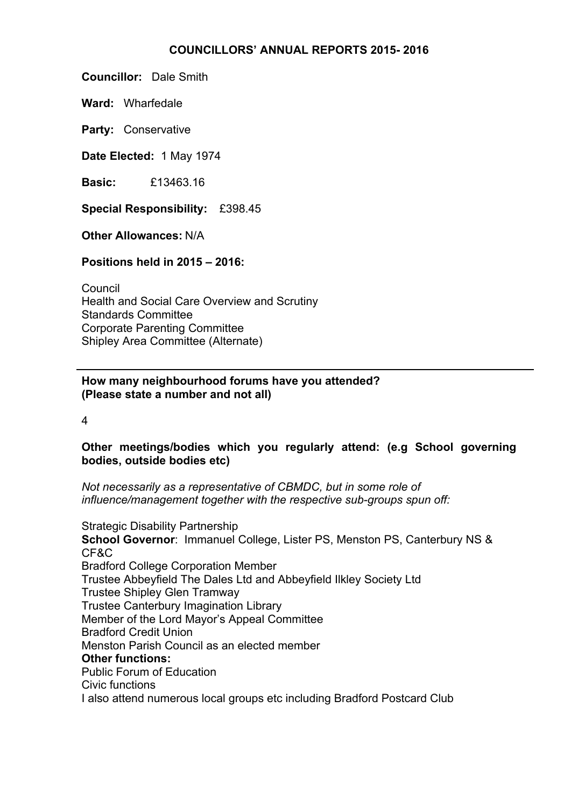#### **COUNCILLORS' ANNUAL REPORTS 2015- 2016**

**Councillor:** Dale Smith

**Ward:** Wharfedale

**Party:** Conservative

**Date Elected:** 1 May 1974

**Basic:** £13463.16

**Special Responsibility:** £398.45

**Other Allowances:** N/A

**Positions held in 2015 – 2016:**

Council Health and Social Care Overview and Scrutiny Standards Committee Corporate Parenting Committee Shipley Area Committee (Alternate)

### **How many neighbourhood forums have you attended? (Please state a number and not all)**

4

## **Other meetings/bodies which you regularly attend: (e.g School governing bodies, outside bodies etc)**

*Not necessarily as a representative of CBMDC, but in some role of influence/management together with the respective sub-groups spun off:*

Strategic Disability Partnership **School Governor**: Immanuel College, Lister PS, Menston PS, Canterbury NS & CF&C Bradford College Corporation Member Trustee Abbeyfield The Dales Ltd and Abbeyfield Ilkley Society Ltd Trustee Shipley Glen Tramway Trustee Canterbury Imagination Library Member of the Lord Mayor's Appeal Committee Bradford Credit Union Menston Parish Council as an elected member **Other functions:** Public Forum of Education Civic functions I also attend numerous local groups etc including Bradford Postcard Club